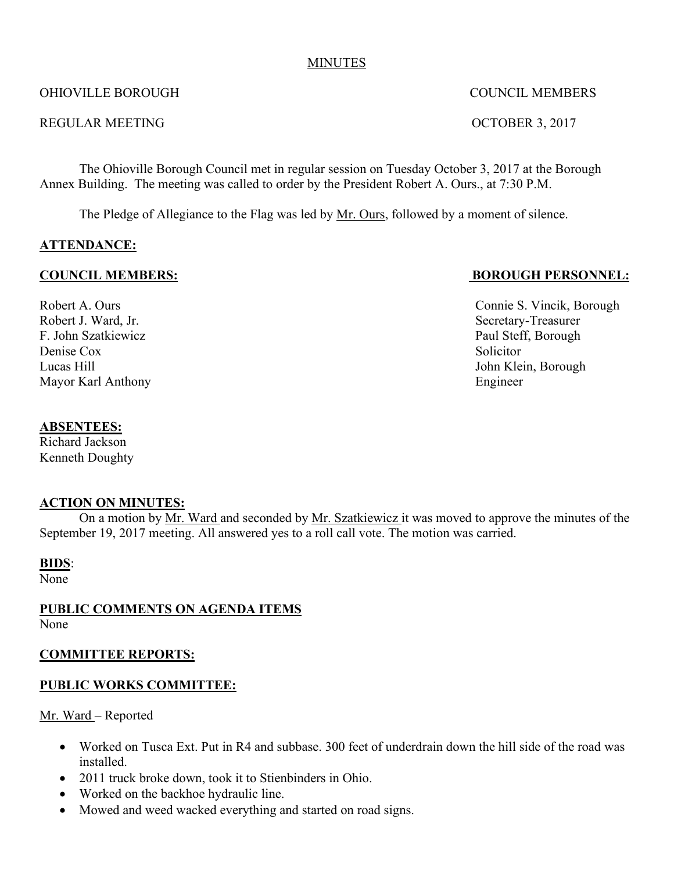#### MINUTES

## OHIOVILLE BOROUGH COUNCIL MEMBERS

#### REGULAR MEETING OCTOBER 3, 2017

The Ohioville Borough Council met in regular session on Tuesday October 3, 2017 at the Borough Annex Building. The meeting was called to order by the President Robert A. Ours., at 7:30 P.M.

The Pledge of Allegiance to the Flag was led by Mr. Ours, followed by a moment of silence.

## **ATTENDANCE:**

Robert J. Ward, Jr. Secretary-Treasurer F. John Szatkiewicz Paul Steff, Borough Denise Cox Solicitor Lucas Hill John Klein, Borough Mayor Karl Anthony Engineer

# **COUNCIL MEMBERS: BOROUGH PERSONNEL:**

Robert A. Ours Connie S. Vincik, Borough

#### **ABSENTEES:**

Richard Jackson Kenneth Doughty

## **ACTION ON MINUTES:**

On a motion by Mr. Ward and seconded by Mr. Szatkiewicz it was moved to approve the minutes of the September 19, 2017 meeting. All answered yes to a roll call vote. The motion was carried.

#### **BIDS**:

None

**PUBLIC COMMENTS ON AGENDA ITEMS** None

## **COMMITTEE REPORTS:**

## **PUBLIC WORKS COMMITTEE:**

Mr. Ward – Reported

- Worked on Tusca Ext. Put in R4 and subbase. 300 feet of underdrain down the hill side of the road was installed.
- 2011 truck broke down, took it to Stienbinders in Ohio.
- Worked on the backhoe hydraulic line.
- Mowed and weed wacked everything and started on road signs.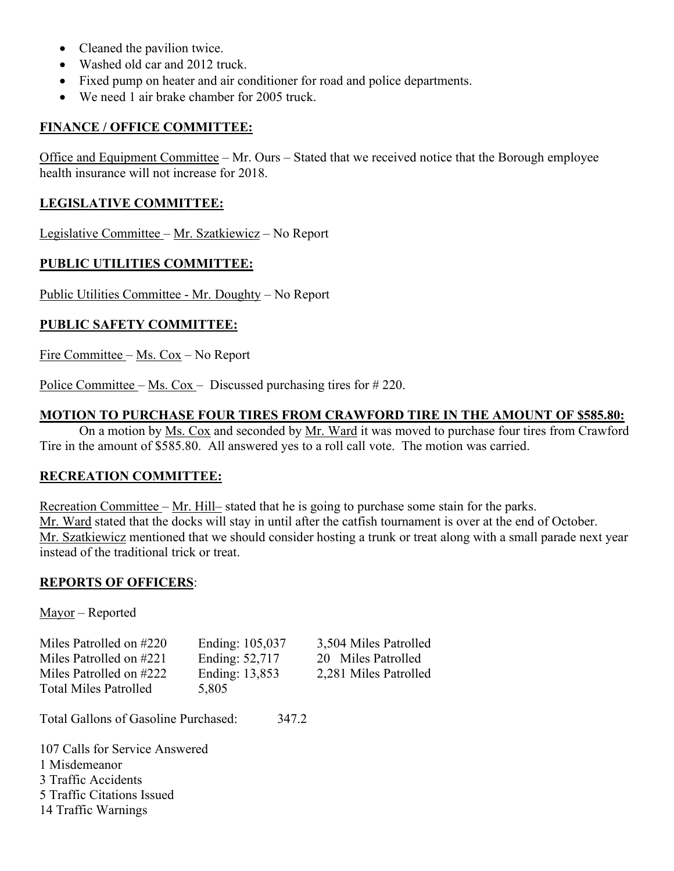- Cleaned the pavilion twice.
- Washed old car and 2012 truck.
- Fixed pump on heater and air conditioner for road and police departments.
- We need 1 air brake chamber for 2005 truck.

#### **FINANCE / OFFICE COMMITTEE:**

Office and Equipment Committee – Mr. Ours – Stated that we received notice that the Borough employee health insurance will not increase for 2018.

#### **LEGISLATIVE COMMITTEE:**

Legislative Committee – Mr. Szatkiewicz – No Report

## **PUBLIC UTILITIES COMMITTEE:**

Public Utilities Committee - Mr. Doughty – No Report

## **PUBLIC SAFETY COMMITTEE:**

Fire Committee – Ms. Cox – No Report

Police Committee – Ms. Cox – Discussed purchasing tires for # 220.

#### **MOTION TO PURCHASE FOUR TIRES FROM CRAWFORD TIRE IN THE AMOUNT OF \$585.80:**

On a motion by Ms. Cox and seconded by Mr. Ward it was moved to purchase four tires from Crawford Tire in the amount of \$585.80. All answered yes to a roll call vote. The motion was carried.

## **RECREATION COMMITTEE:**

Recreation Committee – Mr. Hill– stated that he is going to purchase some stain for the parks. Mr. Ward stated that the docks will stay in until after the catfish tournament is over at the end of October. Mr. Szatkiewicz mentioned that we should consider hosting a trunk or treat along with a small parade next year instead of the traditional trick or treat.

#### **REPORTS OF OFFICERS**:

Mayor – Reported

| Miles Patrolled on #220      | Ending: 105,037 | 3,504 Miles Patrolled |
|------------------------------|-----------------|-----------------------|
| Miles Patrolled on #221      | Ending: 52,717  | 20 Miles Patrolled    |
| Miles Patrolled on #222      | Ending: 13,853  | 2,281 Miles Patrolled |
| <b>Total Miles Patrolled</b> | 5,805           |                       |

Total Gallons of Gasoline Purchased: 347.2

 Calls for Service Answered Misdemeanor 3 Traffic Accidents Traffic Citations Issued Traffic Warnings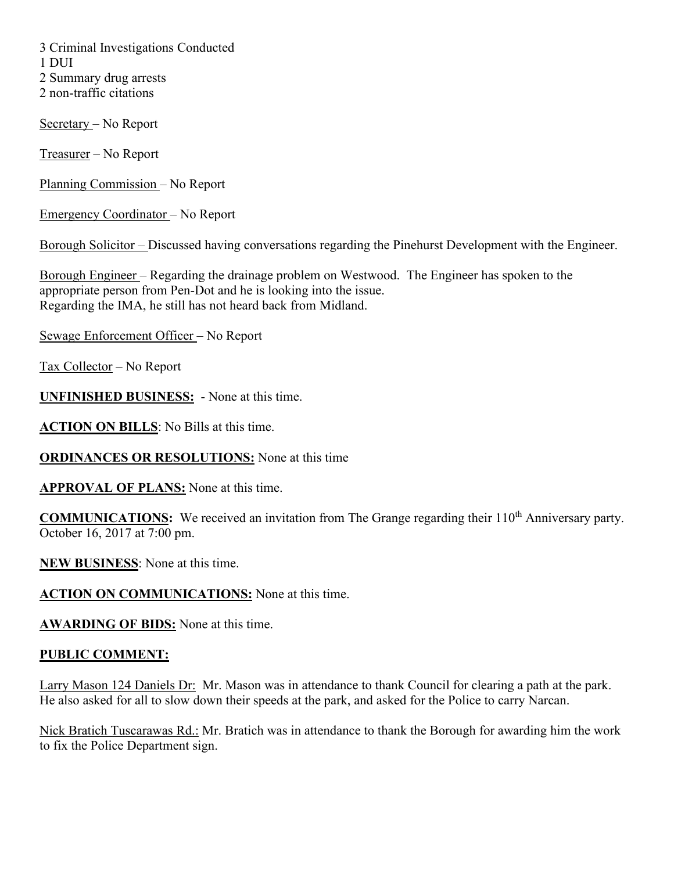3 Criminal Investigations Conducted 1 DUI 2 Summary drug arrests 2 non-traffic citations

Secretary – No Report

Treasurer – No Report

Planning Commission – No Report

Emergency Coordinator – No Report

Borough Solicitor – Discussed having conversations regarding the Pinehurst Development with the Engineer.

Borough Engineer – Regarding the drainage problem on Westwood. The Engineer has spoken to the appropriate person from Pen-Dot and he is looking into the issue. Regarding the IMA, he still has not heard back from Midland.

Sewage Enforcement Officer – No Report

Tax Collector – No Report

**UNFINISHED BUSINESS:** - None at this time.

**ACTION ON BILLS**: No Bills at this time.

**ORDINANCES OR RESOLUTIONS:** None at this time

**APPROVAL OF PLANS:** None at this time.

**COMMUNICATIONS:** We received an invitation from The Grange regarding their 110<sup>th</sup> Anniversary party. October 16, 2017 at 7:00 pm.

**NEW BUSINESS**: None at this time.

**ACTION ON COMMUNICATIONS:** None at this time.

**AWARDING OF BIDS:** None at this time.

## **PUBLIC COMMENT:**

Larry Mason 124 Daniels Dr: Mr. Mason was in attendance to thank Council for clearing a path at the park. He also asked for all to slow down their speeds at the park, and asked for the Police to carry Narcan.

Nick Bratich Tuscarawas Rd.: Mr. Bratich was in attendance to thank the Borough for awarding him the work to fix the Police Department sign.